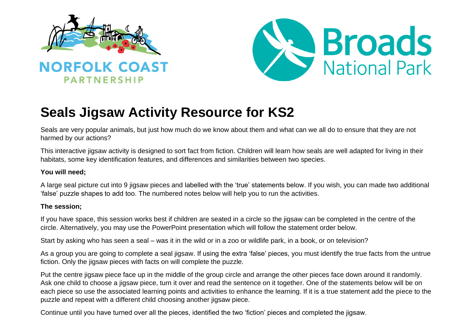



# **Seals Jigsaw Activity Resource for KS2**

Seals are very popular animals, but just how much do we know about them and what can we all do to ensure that they are not harmed by our actions?

This interactive jigsaw activity is designed to sort fact from fiction. Children will learn how seals are well adapted for living in their habitats, some key identification features, and differences and similarities between two species.

# **You will need;**

A large seal picture cut into 9 jigsaw pieces and labelled with the 'true' statements below. If you wish, you can made two additional 'false' puzzle shapes to add too. The numbered notes below will help you to run the activities.

# **The session;**

If you have space, this session works best if children are seated in a circle so the jigsaw can be completed in the centre of the circle. Alternatively, you may use the PowerPoint presentation which will follow the statement order below.

Start by asking who has seen a seal – was it in the wild or in a zoo or wildlife park, in a book, or on television?

As a group you are going to complete a seal jigsaw. If using the extra 'false' pieces, you must identify the true facts from the untrue fiction. Only the jigsaw pieces with facts on will complete the puzzle.

Put the centre jigsaw piece face up in the middle of the group circle and arrange the other pieces face down around it randomly. Ask one child to choose a jigsaw piece, turn it over and read the sentence on it together. One of the statements below will be on each piece so use the associated learning points and activities to enhance the learning. If it is a true statement add the piece to the puzzle and repeat with a different child choosing another jigsaw piece.

Continue until you have turned over all the pieces, identified the two 'fiction' pieces and completed the jigsaw.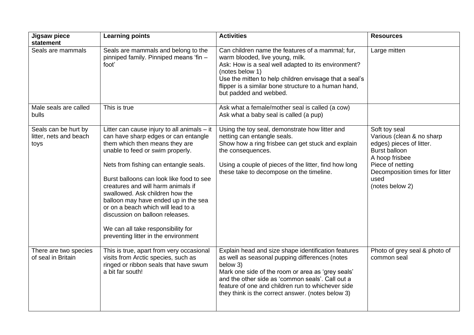| Jigsaw piece<br>statement                              | <b>Learning points</b>                                                                                                                                                                                                                                                                                                                                                                                                                                                                                                   | <b>Activities</b>                                                                                                                                                                                                                                                                                                                    | <b>Resources</b>                                                                                                                                                                           |
|--------------------------------------------------------|--------------------------------------------------------------------------------------------------------------------------------------------------------------------------------------------------------------------------------------------------------------------------------------------------------------------------------------------------------------------------------------------------------------------------------------------------------------------------------------------------------------------------|--------------------------------------------------------------------------------------------------------------------------------------------------------------------------------------------------------------------------------------------------------------------------------------------------------------------------------------|--------------------------------------------------------------------------------------------------------------------------------------------------------------------------------------------|
| Seals are mammals                                      | Seals are mammals and belong to the<br>pinniped family. Pinniped means 'fin -<br>foot'                                                                                                                                                                                                                                                                                                                                                                                                                                   | Can children name the features of a mammal; fur,<br>warm blooded, live young, milk.<br>Ask: How is a seal well adapted to its environment?<br>(notes below 1)<br>Use the mitten to help children envisage that a seal's<br>flipper is a similar bone structure to a human hand,<br>but padded and webbed.                            | Large mitten                                                                                                                                                                               |
| Male seals are called<br>bulls                         | This is true                                                                                                                                                                                                                                                                                                                                                                                                                                                                                                             | Ask what a female/mother seal is called (a cow)<br>Ask what a baby seal is called (a pup)                                                                                                                                                                                                                                            |                                                                                                                                                                                            |
| Seals can be hurt by<br>litter, nets and beach<br>toys | Litter can cause injury to all animals $-$ it<br>can have sharp edges or can entangle<br>them which then means they are<br>unable to feed or swim properly.<br>Nets from fishing can entangle seals.<br>Burst balloons can look like food to see<br>creatures and will harm animals if<br>swallowed. Ask children how the<br>balloon may have ended up in the sea<br>or on a beach which will lead to a<br>discussion on balloon releases.<br>We can all take responsibility for<br>preventing litter in the environment | Using the toy seal, demonstrate how litter and<br>netting can entangle seals.<br>Show how a ring frisbee can get stuck and explain<br>the consequences.<br>Using a couple of pieces of the litter, find how long<br>these take to decompose on the timeline.                                                                         | Soft toy seal<br>Various (clean & no sharp<br>edges) pieces of litter.<br>Burst balloon<br>A hoop frisbee<br>Piece of netting<br>Decomposition times for litter<br>used<br>(notes below 2) |
| There are two species<br>of seal in Britain            | This is true, apart from very occasional<br>visits from Arctic species, such as<br>ringed or ribbon seals that have swum<br>a bit far south!                                                                                                                                                                                                                                                                                                                                                                             | Explain head and size shape identification features<br>as well as seasonal pupping differences (notes<br>below 3)<br>Mark one side of the room or area as 'grey seals'<br>and the other side as 'common seals'. Call out a<br>feature of one and children run to whichever side<br>they think is the correct answer. (notes below 3) | Photo of grey seal & photo of<br>common seal                                                                                                                                               |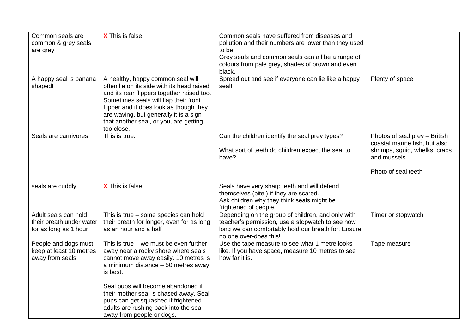| Common seals are<br>common & grey seals<br>are grey                       | X This is false                                                                                                                                                                                                                                                                                                     | Common seals have suffered from diseases and<br>pollution and their numbers are lower than they used<br>to be.<br>Grey seals and common seals can all be a range of<br>colours from pale grey, shades of brown and even |                                                                               |
|---------------------------------------------------------------------------|---------------------------------------------------------------------------------------------------------------------------------------------------------------------------------------------------------------------------------------------------------------------------------------------------------------------|-------------------------------------------------------------------------------------------------------------------------------------------------------------------------------------------------------------------------|-------------------------------------------------------------------------------|
|                                                                           |                                                                                                                                                                                                                                                                                                                     | black.                                                                                                                                                                                                                  |                                                                               |
| A happy seal is banana<br>shaped!                                         | A healthy, happy common seal will<br>often lie on its side with its head raised<br>and its rear flippers together raised too.<br>Sometimes seals will flap their front<br>flipper and it does look as though they<br>are waving, but generally it is a sign<br>that another seal, or you, are getting<br>too close. | Spread out and see if everyone can lie like a happy<br>seal!                                                                                                                                                            | Plenty of space                                                               |
| Seals are carnivores                                                      | This is true.                                                                                                                                                                                                                                                                                                       | Can the children identify the seal prey types?                                                                                                                                                                          | Photos of seal prey - British                                                 |
|                                                                           |                                                                                                                                                                                                                                                                                                                     | What sort of teeth do children expect the seal to<br>have?                                                                                                                                                              | coastal marine fish, but also<br>shrimps, squid, whelks, crabs<br>and mussels |
|                                                                           |                                                                                                                                                                                                                                                                                                                     |                                                                                                                                                                                                                         | Photo of seal teeth                                                           |
| seals are cuddly                                                          | <b>X</b> This is false                                                                                                                                                                                                                                                                                              | Seals have very sharp teeth and will defend<br>themselves (bite!) if they are scared.<br>Ask children why they think seals might be<br>frightened of people.                                                            |                                                                               |
| Adult seals can hold<br>their breath under water<br>for as long as 1 hour | This is true - some species can hold<br>their breath for longer, even for as long<br>as an hour and a half                                                                                                                                                                                                          | Depending on the group of children, and only with<br>teacher's permission, use a stopwatch to see how<br>long we can comfortably hold our breath for. Ensure<br>no one over-does this!                                  | Timer or stopwatch                                                            |
| People and dogs must<br>keep at least 10 metres<br>away from seals        | This is true $-$ we must be even further<br>away near a rocky shore where seals<br>cannot move away easily. 10 metres is<br>a minimum distance $-50$ metres away<br>is best.                                                                                                                                        | Use the tape measure to see what 1 metre looks<br>like. If you have space, measure 10 metres to see<br>how far it is.                                                                                                   | Tape measure                                                                  |
|                                                                           | Seal pups will become abandoned if<br>their mother seal is chased away. Seal<br>pups can get squashed if frightened<br>adults are rushing back into the sea<br>away from people or dogs.                                                                                                                            |                                                                                                                                                                                                                         |                                                                               |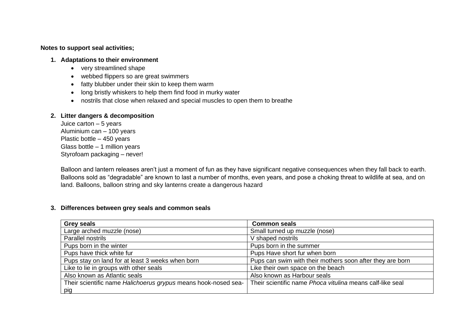## **Notes to support seal activities;**

#### **1. Adaptations to their environment**

- very streamlined shape
- webbed flippers so are great swimmers
- fatty blubber under their skin to keep them warm
- long bristly whiskers to help them find food in murky water
- nostrils that close when relaxed and special muscles to open them to breathe

## **2. Litter dangers & decomposition**

Juice carton – 5 years Aluminium can – 100 years Plastic bottle – 450 years Glass bottle – 1 million years Styrofoam packaging – never!

Balloon and lantern releases aren't just a moment of fun as they have significant negative consequences when they fall back to earth. Balloons sold as "degradable" are known to last a number of months, even years, and pose a choking threat to wildlife at sea, and on land. Balloons, balloon string and sky lanterns create a dangerous hazard

## **3. Differences between grey seals and common seals**

| <b>Grey seals</b>                                              | <b>Common seals</b>                                       |
|----------------------------------------------------------------|-----------------------------------------------------------|
| Large arched muzzle (nose)                                     | Small turned up muzzle (nose)                             |
| Parallel nostrils                                              | V shaped nostrils                                         |
| Pups born in the winter                                        | Pups born in the summer                                   |
| Pups have thick white fur                                      | Pups Have short fur when born                             |
| Pups stay on land for at least 3 weeks when born               | Pups can swim with their mothers soon after they are born |
| Like to lie in groups with other seals                         | Like their own space on the beach                         |
| Also known as Atlantic seals                                   | Also known as Harbour seals                               |
| Their scientific name Halichoerus grypus means hook-nosed sea- | Their scientific name Phoca vitulina means calf-like seal |
| pig                                                            |                                                           |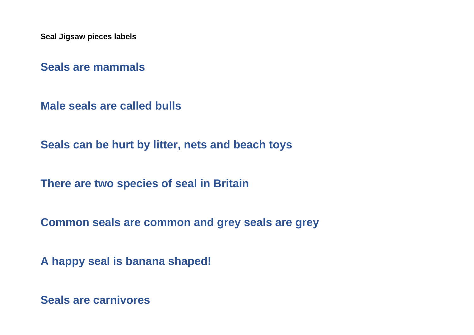**Seal Jigsaw pieces labels**

**Seals are mammals**

**Male seals are called bulls**

**Seals can be hurt by litter, nets and beach toys**

**There are two species of seal in Britain**

**Common seals are common and grey seals are grey**

**A happy seal is banana shaped!**

**Seals are carnivores**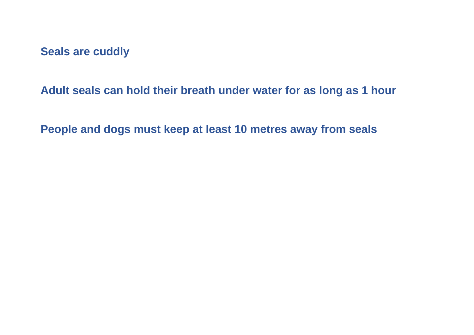**Seals are cuddly**

**Adult seals can hold their breath under water for as long as 1 hour**

**People and dogs must keep at least 10 metres away from seals**